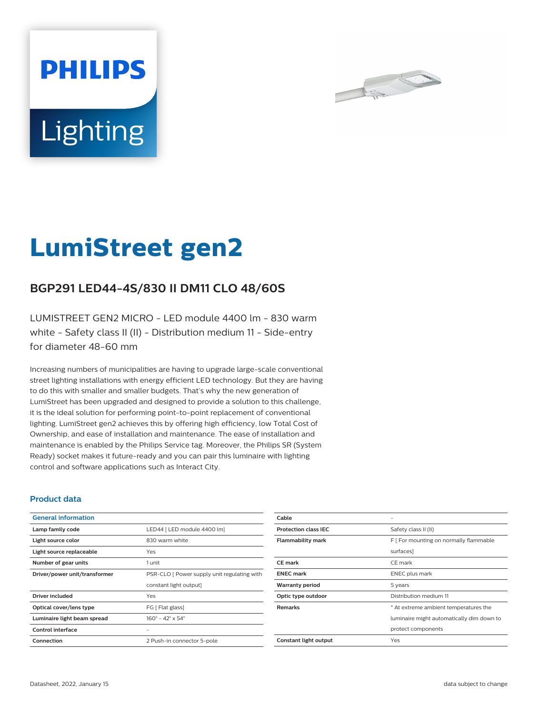



# **LumiStreet gen2**

## **BGP291 LED44-4S/830 II DM11 CLO 48/60S**

LUMISTREET GEN2 MICRO - LED module 4400 lm - 830 warm white - Safety class II (II) - Distribution medium 11 - Side-entry for diameter 48-60 mm

Increasing numbers of municipalities are having to upgrade large-scale conventional street lighting installations with energy efficient LED technology. But they are having to do this with smaller and smaller budgets. That's why the new generation of LumiStreet has been upgraded and designed to provide a solution to this challenge, it is the ideal solution for performing point-to-point replacement of conventional lighting. LumiStreet gen2 achieves this by offering high efficiency, low Total Cost of Ownership, and ease of installation and maintenance. The ease of installation and maintenance is enabled by the Philips Service tag. Moreover, the Philips SR (System Ready) socket makes it future-ready and you can pair this luminaire with lighting control and software applications such as Interact City.

#### **Product data**

| <b>General information</b>    |                                              |  |
|-------------------------------|----------------------------------------------|--|
| Lamp family code              | LED44   LED module 4400 lm]                  |  |
| Light source color            | 830 warm white                               |  |
| Light source replaceable      | Yes                                          |  |
| Number of gear units          | 1 unit                                       |  |
| Driver/power unit/transformer | PSR-CLO [ Power supply unit regulating with  |  |
|                               | constant light output]                       |  |
| <b>Driver included</b>        | Yes                                          |  |
| Optical cover/lens type       | FG [ Flat glass]                             |  |
| Luminaire light beam spread   | $160^{\circ} - 42^{\circ} \times 54^{\circ}$ |  |
| Control interface             |                                              |  |
| Connection                    | 2 Push-in connector 5-pole                   |  |

| Cable                       |                                           |  |
|-----------------------------|-------------------------------------------|--|
| <b>Protection class IEC</b> | Safety class II (II)                      |  |
| <b>Flammability mark</b>    | F [ For mounting on normally flammable    |  |
|                             | surfaces]                                 |  |
| <b>CE</b> mark              | CE mark                                   |  |
| <b>ENEC mark</b>            | <b>ENEC</b> plus mark                     |  |
| <b>Warranty period</b>      | 5 years                                   |  |
| Optic type outdoor          | Distribution medium 11                    |  |
| <b>Remarks</b>              | * At extreme ambient temperatures the     |  |
|                             | luminaire might automatically dim down to |  |
|                             | protect components                        |  |
| Constant light output       | Yes                                       |  |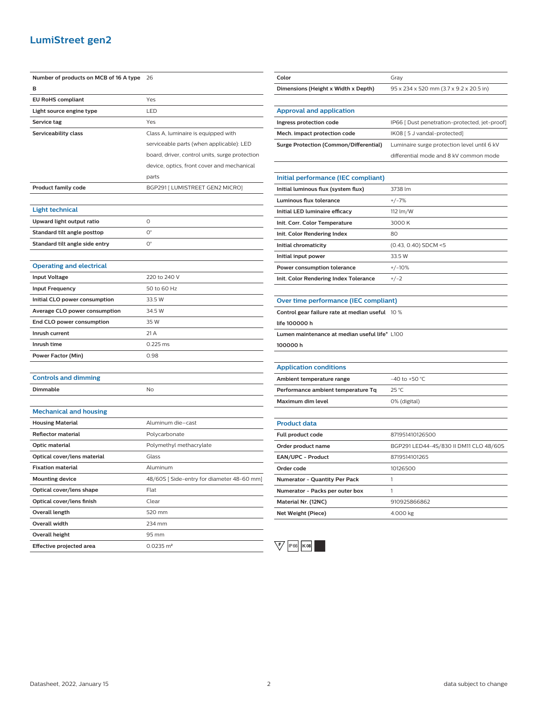### **LumiStreet gen2**

| Number of products on MCB of 16 A type 26 |                                                | Color                                           | Gray                                          |
|-------------------------------------------|------------------------------------------------|-------------------------------------------------|-----------------------------------------------|
| в                                         |                                                | Dimensions (Height x Width x Depth)             | 95 x 234 x 520 mm (3.7 x 9.2 x 20.5 in)       |
| <b>EU RoHS compliant</b>                  | Yes                                            |                                                 |                                               |
| Light source engine type                  | LED                                            | <b>Approval and application</b>                 |                                               |
| Service tag                               | Yes                                            | Ingress protection code                         | IP66 [ Dust penetration-protected, jet-proof] |
| Serviceability class                      | Class A, luminaire is equipped with            | Mech. impact protection code                    | IK08 [5 J vandal-protected]                   |
|                                           | serviceable parts (when applicable): LED       | <b>Surge Protection (Common/Differential)</b>   | Luminaire surge protection level until 6 kV   |
|                                           | board, driver, control units, surge protection |                                                 | differential mode and 8 kV common mode        |
|                                           | device, optics, front cover and mechanical     |                                                 |                                               |
|                                           | parts                                          | Initial performance (IEC compliant)             |                                               |
| <b>Product family code</b>                | BGP291 [ LUMISTREET GEN2 MICRO]                | Initial luminous flux (system flux)             | 3738 lm                                       |
|                                           |                                                | Luminous flux tolerance                         | $+/-7%$                                       |
| Light technical                           |                                                | Initial LED luminaire efficacy                  | 112 lm/W                                      |
| Upward light output ratio                 | $\circ$                                        | Init. Corr. Color Temperature                   | 3000 K                                        |
| Standard tilt angle posttop               | $\mathsf{O}^\circ$                             | Init. Color Rendering Index                     | 80                                            |
| Standard tilt angle side entry            | $O^{\circ}$                                    | Initial chromaticity                            | $(0.43, 0.40)$ SDCM <5                        |
|                                           |                                                | Initial input power                             | 33.5 W                                        |
| <b>Operating and electrical</b>           |                                                | Power consumption tolerance                     | $+/-10%$                                      |
| <b>Input Voltage</b>                      | 220 to 240 V                                   | Init. Color Rendering Index Tolerance           | $+/-2$                                        |
| <b>Input Frequency</b>                    | 50 to 60 Hz                                    |                                                 |                                               |
| Initial CLO power consumption             | 33.5 W                                         | Over time performance (IEC compliant)           |                                               |
| Average CLO power consumption             | 34.5 W                                         | Control gear failure rate at median useful 10 % |                                               |
| End CLO power consumption                 | 35 W                                           | life 100000 h                                   |                                               |
| Inrush current                            | 21 A                                           | Lumen maintenance at median useful life* L100   |                                               |
| Inrush time                               | 0.225 ms                                       | 100000 h                                        |                                               |
| <b>Power Factor (Min)</b>                 | 0.98                                           |                                                 |                                               |
|                                           |                                                | <b>Application conditions</b>                   |                                               |
| <b>Controls and dimming</b>               |                                                | Ambient temperature range                       | -40 to +50 $°C$                               |
| Dimmable                                  | No                                             | Performance ambient temperature Tq              | 25 °C                                         |
|                                           |                                                | Maximum dim level                               | 0% (digital)                                  |
| <b>Mechanical and housing</b>             |                                                |                                                 |                                               |
| <b>Housing Material</b>                   | Aluminum die-cast                              | <b>Product data</b>                             |                                               |
| <b>Reflector material</b>                 | Polycarbonate                                  | Full product code                               | 871951410126500                               |
| Optic material                            | Polymethyl methacrylate                        | Order product name                              | BGP291 LED44-4S/830 II DM11 CLO 48/60S        |
| Optical cover/lens material               | Glass                                          | EAN/UPC - Product                               | 8719514101265                                 |
| <b>Fixation material</b>                  | Aluminum                                       | Order code                                      | 10126500                                      |
| <b>Mounting device</b>                    | 48/60S [Side-entry for diameter 48-60 mm]      | Numerator - Quantity Per Pack                   | 1                                             |
| Optical cover/lens shape                  | Flat                                           | Numerator - Packs per outer box                 | $\mathbf{1}$                                  |
| Optical cover/lens finish                 | Clear                                          | Material Nr. (12NC)                             | 910925866862                                  |
| Overall length                            | 520 mm                                         | Net Weight (Piece)                              | 4.000 kg                                      |
| Overall width                             | 234 mm                                         |                                                 |                                               |
| <b>Overall height</b>                     | 95 mm                                          |                                                 |                                               |
| <b>Effective projected area</b>           | $0.0235 \; \text{m}^2$                         | $\vee$<br>IP 66   K 08                          |                                               |
|                                           |                                                |                                                 |                                               |